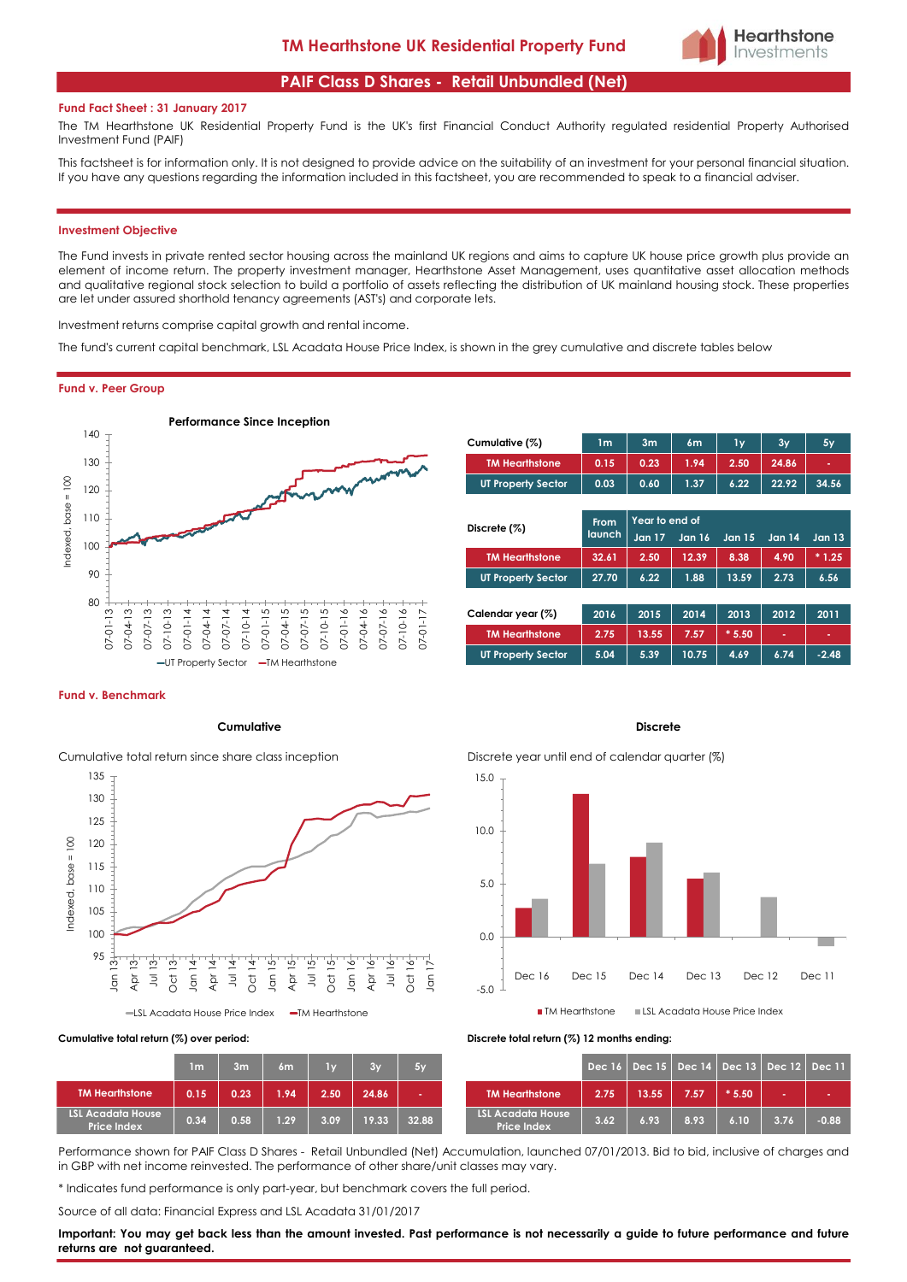# **PAIF Class D Shares - Retail Unbundled (Net)**

#### **Fund Fact Sheet : 31 January 2017**

The TM Hearthstone UK Residential Property Fund is the UK's first Financial Conduct Authority regulated residential Property Authorised Investment Fund (PAIF)

This factsheet is for information only. It is not designed to provide advice on the suitability of an investment for your personal financial situation. If you have any questions regarding the information included in this factsheet, you are recommended to speak to a financial adviser.

#### **Investment Objective**

The Fund invests in private rented sector housing across the mainland UK regions and aims to capture UK house price growth plus provide an element of income return. The property investment manager, Hearthstone Asset Management, uses quantitative asset allocation methods and qualitative regional stock selection to build a portfolio of assets reflecting the distribution of UK mainland housing stock. These properties are let under assured shorthold tenancy agreements (AST's) and corporate lets.

Investment returns comprise capital growth and rental income.

The fund's current capital benchmark, LSL Acadata House Price Index, is shown in the grey cumulative and discrete tables below

#### **Fund v. Peer Group**



| Cumulative (%)            | 1m   | 3 <sub>m</sub> | 6m   | 1v   | 3y    | 5y    |
|---------------------------|------|----------------|------|------|-------|-------|
| <b>TM Hearthstone</b>     | 0.15 | 0.23           | 1.94 | 2.50 | 24.86 | ٠     |
| <b>UT Property Sector</b> | 0.03 | 0.60           | 1.37 | 6.22 | 22.92 | 34.56 |
|                           |      |                |      |      |       |       |

**Hearthstone** Investments

| Discrete (%)              | From          | Year to end of |        |               |        |               |
|---------------------------|---------------|----------------|--------|---------------|--------|---------------|
|                           | <b>launch</b> | <b>Jan 17</b>  | Jan 16 | <b>Jan 15</b> | Jan 14 | <b>Jan 13</b> |
| <b>TM Hearthstone</b>     | 32.61         | 2.50           | 12.39  | 8.38          | 4.90   | $*1.25$       |
| <b>UT Property Sector</b> | 27.70         | 6.22           | 1.88   | 13.59         | 2.73   | 6.56          |
|                           |               |                |        |               |        |               |
| Calendar year (%)         | 2016          | 2015           | 2014   | 2013          | 2012   | 2011          |
| <b>TM Hearthstone</b>     | 2.75          | 13.55          | 7.57   | $*5.50$       | ٠      | ٠             |
| <b>UT Property Sector</b> | 5.04          | 5.39           | 10.75  | 4.69          | 6.74   | $-2.48$       |

#### **Fund v. Benchmark**

### **Cumulative Discrete**



Cumulative total return since share class inception Discrete year until end of calendar quarter (%)



|                                                | 1 <sub>m</sub> | 3m   | 6m   | 1y   | 3y    | 5y    |
|------------------------------------------------|----------------|------|------|------|-------|-------|
| <b>TM Hearthstone</b>                          | 0.15           | 0.23 | 1.94 | 2.50 | 24.86 | ٠     |
| <b>LSL Acadata House</b><br><b>Price Index</b> | 0.34           | 0.58 | 1.29 | 3.09 | 19.33 | 32.88 |

**Cumulative total return (%) over period: Discrete total return (%) 12 months ending:**

| 1 <sub>m</sub> | 3 <sub>m</sub> | 6m   | $1\vee$ | <b>RIVA</b> | 5y    |                                                |      |       |      | Dec 16   Dec 15   Dec 14   Dec 13   Dec 12   Dec 11 |      |         |
|----------------|----------------|------|---------|-------------|-------|------------------------------------------------|------|-------|------|-----------------------------------------------------|------|---------|
| 0.15           | 0.23           | 1.94 | 2.50    | 24.86       |       | <b>TM Hearthstone</b>                          | 2.75 | 13.55 | 7.57 | $*5.50$                                             |      | . .     |
| 0.34           | 0.58           | 1.29 | 3.09    | 19.33       | 32.88 | <b>LSL Acadata House</b><br><b>Price Index</b> | 3.62 | 6.93  | 8.93 | 6.10                                                | 3.76 | $-0.88$ |

Performance shown for PAIF Class D Shares - Retail Unbundled (Net) Accumulation, launched 07/01/2013. Bid to bid, inclusive of charges and in GBP with net income reinvested. The performance of other share/unit classes may vary.

\* Indicates fund performance is only part-year, but benchmark covers the full period.

Source of all data: Financial Express and LSL Acadata 31/01/2017

Important: You may get back less than the amount invested. Past performance is not necessarily a guide to future performance and future **returns are not guaranteed.**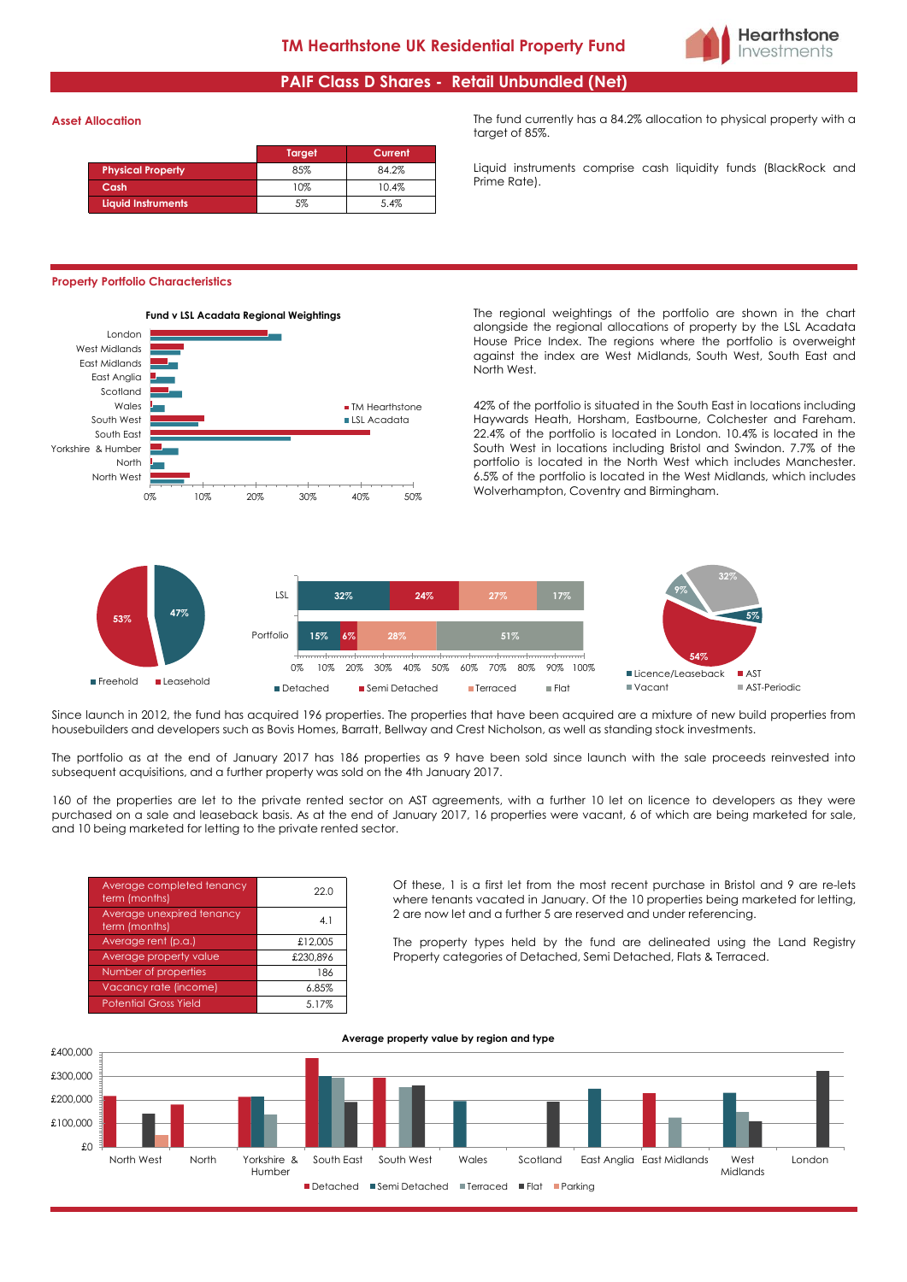

# **PAIF Class D Shares - Retail Unbundled (Net)**

#### **Asset Allocation**

|                          | Target | Current |
|--------------------------|--------|---------|
| <b>Physical Property</b> | 85%    | 84.2%   |
| Cash                     | 10%    | 10.4%   |
| Liquid Instruments       | 5%     | 5.4%    |

#### **Property Portfolio Characteristics**



The fund currently has a 84.2% allocation to physical property with a target of 85%.

Liquid instruments comprise cash liquidity funds (BlackRock and Prime Rate).

alongside the regional allocations of property by the LSL Acadata House Price Index. The regions where the portfolio is overweight against the index are West Midlands, South West, South East and North West.

42% of the portfolio is situated in the South East in locations including Haywards Heath, Horsham, Eastbourne, Colchester and Fareham. 22.4% of the portfolio is located in London. 10.4% is located in the South West in locations including Bristol and Swindon. 7.7% of the portfolio is located in the North West which includes Manchester. 6.5% of the portfolio is located in the West Midlands, which includes Wolverhampton, Coventry and Birmingham.



Since launch in 2012, the fund has acquired 196 properties. The properties that have been acquired are a mixture of new build properties from housebuilders and developers such as Bovis Homes, Barratt, Bellway and Crest Nicholson, as well as standing stock investments.

The portfolio as at the end of January 2017 has 186 properties as 9 have been sold since launch with the sale proceeds reinvested into subsequent acquisitions, and a further property was sold on the 4th January 2017.

160 of the properties are let to the private rented sector on AST agreements, with a further 10 let on licence to developers as they were purchased on a sale and leaseback basis. As at the end of January 2017, 16 properties were vacant, 6 of which are being marketed for sale, and 10 being marketed for letting to the private rented sector.

| Average completed tenancy<br>term (months) | 22.0     |
|--------------------------------------------|----------|
| Average unexpired tenancy<br>term (months) | 4.1      |
| Average rent (p.a.)                        | £12,005  |
| Average property value                     | £230.896 |
| Number of properties                       | 186      |
| Vacancy rate (income)                      | 6.85%    |
| <b>Potential Gross Yield</b>               | 5.17%    |

Of these, 1 is a first let from the most recent purchase in Bristol and 9 are re-lets where tenants vacated in January. Of the 10 properties being marketed for letting, 2 are now let and a further 5 are reserved and under referencing.

The property types held by the fund are delineated using the Land Registry Property categories of Detached, Semi Detached, Flats & Terraced.

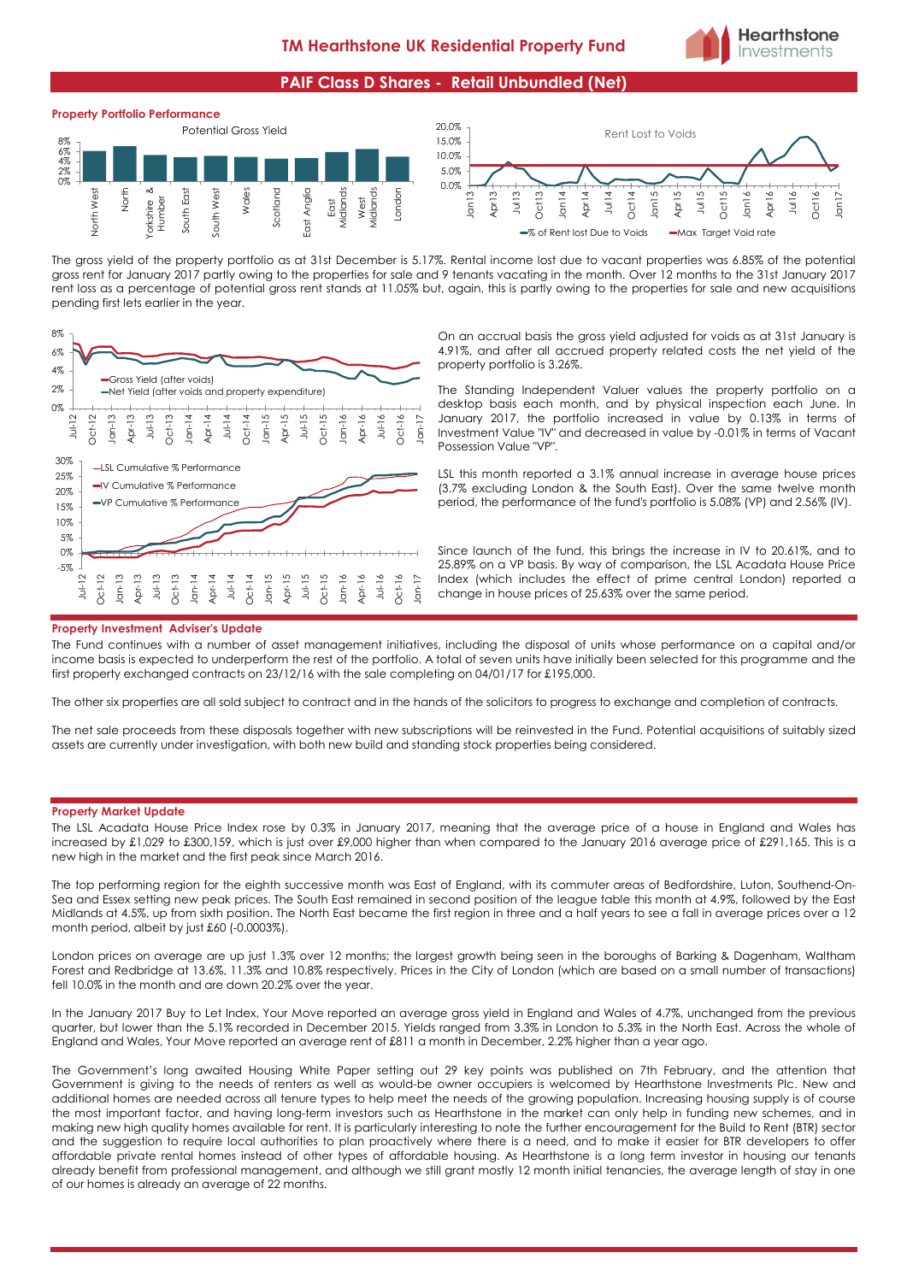

# **PAIF Class D Shares - Retail Unbundled (Net)**



The gross yield of the property portfolio as at 31st December is 5.17%. Rental income lost due to vacant properties was 6.85% of the potential gross rent for January 2017 partly owing to the properties for sale and 9 tenants vacating in the month. Over 12 months to the 31st January 2017 rent loss as a percentage of potential gross rent stands at 11.05% but, again, this is partly owing to the properties for sale and new acquisitions pending first lets earlier in the year.



On an accrual basis the gross yield adjusted for voids as at 31st January is 4.91%, and after all accrued property related costs the net yield of the property portfolio is 3.26%.

The Standing Independent Valuer values the property portfolio on a desktop basis each month, and by physical inspection each June. In January 2017, the portfolio increased in value by 0.13% in terms of Investment Value "IV" and decreased in value by -0.01% in terms of Vacant Possession Value "VP".

LSL this month reported a 3.1% annual increase in average house prices (3.7% excluding London & the South East). Over the same twelve month period, the performance of the fund's portfolio is 5.08% (VP) and 2.56% (IV).

Since launch of the fund, this brings the increase in IV to 20.61%, and to 25.89% on a VP basis. By way of comparison, the LSL Acadata House Price Index (which includes the effect of prime central London) reported a change in house prices of 25.63% over the same period.

#### **Property Investment Adviser's Update**

The Fund continues with a number of asset management initiatives, including the disposal of units whose performance on a capital and/or income basis is expected to underperform the rest of the portfolio. A total of seven units have initially been selected for this programme and the first property exchanged contracts on 23/12/16 with the sale completing on 04/01/17 for £195,000.

The other six properties are all sold subject to contract and in the hands of the solicitors to progress to exchange and completion of contracts.

The net sale proceeds from these disposals together with new subscriptions will be reinvested in the Fund. Potential acquisitions of suitably sized assets are currently under investigation, with both new build and standing stock properties being considered.

#### **Property Market Update**

The LSL Acadata House Price Index rose by 0.3% in January 2017, meaning that the average price of a house in England and Wales has increased by £1,029 to £300,159, which is just over £9,000 higher than when compared to the January 2016 average price of £291,165. This is a new high in the market and the first peak since March 2016.

The top performing region for the eighth successive month was East of England, with its commuter areas of Bedfordshire, Luton, Southend-On-Sea and Essex setting new peak prices. The South East remained in second position of the league table this month at 4.9%, followed by the East Midlands at 4.5%, up from sixth position. The North East became the first region in three and a half years to see a fall in average prices over a 12 month period, albeit by just £60 (-0.0003%).

London prices on average are up just 1.3% over 12 months; the largest growth being seen in the boroughs of Barking & Dagenham, Waltham Forest and Redbridge at 13.6%, 11.3% and 10.8% respectively. Prices in the City of London (which are based on a small number of transactions) fell 10.0% in the month and are down 20.2% over the year.

In the January 2017 Buy to Let Index, Your Move reported an average gross yield in England and Wales of 4.7%, unchanged from the previous quarter, but lower than the 5.1% recorded in December 2015. Yields ranged from 3.3% in London to 5.3% in the North East. Across the whole of England and Wales, Your Move reported an average rent of £811 a month in December, 2.2% higher than a year ago.

The Government's long awaited Housing White Paper setting out 29 key points was published on 7th February, and the attention that Government is giving to the needs of renters as well as would-be owner occupiers is welcomed by Hearthstone Investments Plc. New and additional homes are needed across all tenure types to help meet the needs of the growing population. Increasing housing supply is of course the most important factor, and having long-term investors such as Hearthstone in the market can only help in funding new schemes, and in making new high quality homes available for rent. It is particularly interesting to note the further encouragement for the Build to Rent (BTR) sector and the suggestion to require local authorities to plan proactively where there is a need, and to make it easier for BTR developers to offer affordable private rental homes instead of other types of affordable housing. As Hearthstone is a long term investor in housing our tenants already benefit from professional management, and although we still grant mostly 12 month initial tenancies, the average length of stay in one of our homes is already an average of 22 months.